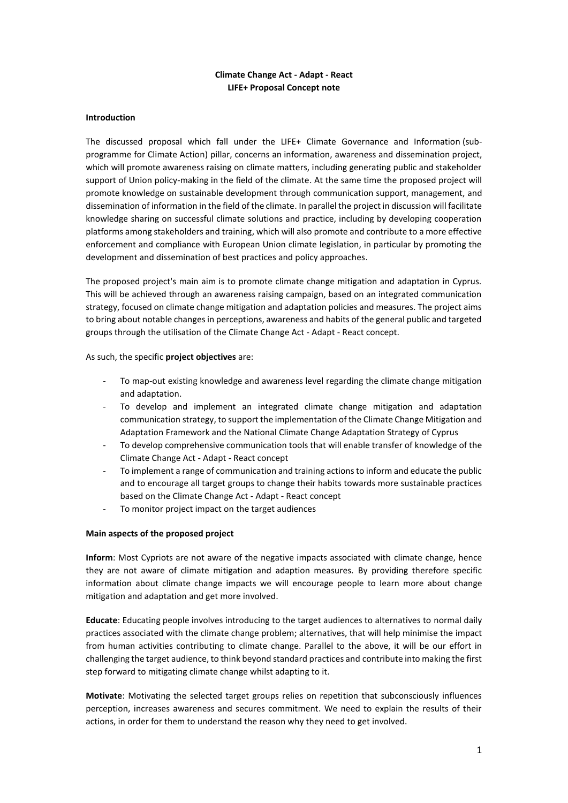# **Climate Change Act - Adapt - React LIFE+ Proposal Concept note**

#### **Introduction**

The discussed proposal which fall under the LIFE+ Climate Governance and Information (subprogramme for Climate Action) pillar, concerns an information, awareness and dissemination project, which will promote awareness raising on climate matters, including generating public and stakeholder support of Union policy-making in the field of the climate. At the same time the proposed project will promote knowledge on sustainable development through communication support, management, and dissemination of information in the field of the climate. In parallel the project in discussion will facilitate knowledge sharing on successful climate solutions and practice, including by developing cooperation platforms among stakeholders and training, which will also promote and contribute to a more effective enforcement and compliance with European Union climate legislation, in particular by promoting the development and dissemination of best practices and policy approaches.

The proposed project's main aim is to promote climate change mitigation and adaptation in Cyprus. This will be achieved through an awareness raising campaign, based on an integrated communication strategy, focused on climate change mitigation and adaptation policies and measures. The project aims to bring about notable changes in perceptions, awareness and habits of the general public and targeted groups through the utilisation of the Climate Change Act - Adapt - React concept.

As such, the specific **project objectives** are:

- To map-out existing knowledge and awareness level regarding the climate change mitigation and adaptation.
- To develop and implement an integrated climate change mitigation and adaptation communication strategy, to support the implementation of the Climate Change Mitigation and Adaptation Framework and the National Climate Change Adaptation Strategy of Cyprus
- To develop comprehensive communication tools that will enable transfer of knowledge of the Climate Change Act - Adapt - React concept
- To implement a range of communication and training actions to inform and educate the public and to encourage all target groups to change their habits towards more sustainable practices based on the Climate Change Act - Adapt - React concept
- To monitor project impact on the target audiences

# **Main aspects of the proposed project**

**Inform**: Most Cypriots are not aware of the negative impacts associated with climate change, hence they are not aware of climate mitigation and adaption measures. By providing therefore specific information about climate change impacts we will encourage people to learn more about change mitigation and adaptation and get more involved.

**Educate**: Educating people involves introducing to the target audiences to alternatives to normal daily practices associated with the climate change problem; alternatives, that will help minimise the impact from human activities contributing to climate change. Parallel to the above, it will be our effort in challenging the target audience, to think beyond standard practices and contribute into making the first step forward to mitigating climate change whilst adapting to it.

**Motivate**: Motivating the selected target groups relies on repetition that subconsciously influences perception, increases awareness and secures commitment. We need to explain the results of their actions, in order for them to understand the reason why they need to get involved.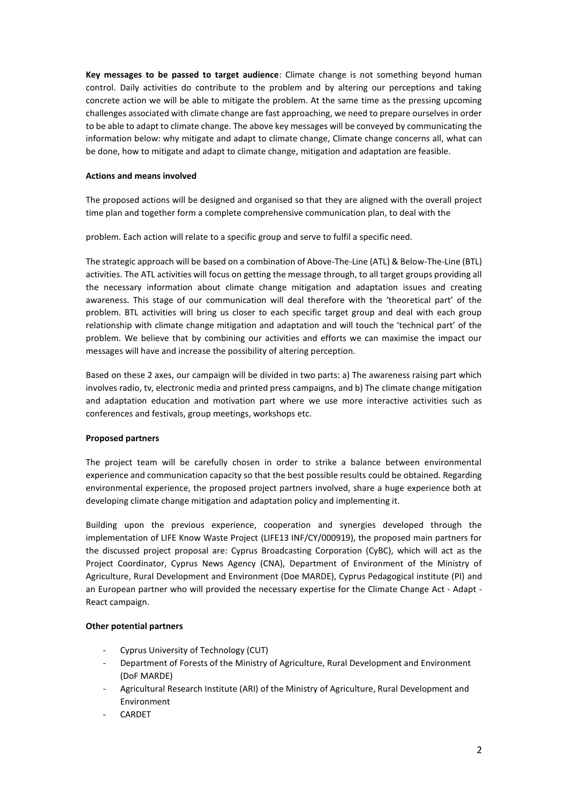**Key messages to be passed to target audience**: Climate change is not something beyond human control. Daily activities do contribute to the problem and by altering our perceptions and taking concrete action we will be able to mitigate the problem. At the same time as the pressing upcoming challenges associated with climate change are fast approaching, we need to prepare ourselves in order to be able to adapt to climate change. The above key messages will be conveyed by communicating the information below: why mitigate and adapt to climate change, Climate change concerns all, what can be done, how to mitigate and adapt to climate change, mitigation and adaptation are feasible.

#### **Actions and means involved**

The proposed actions will be designed and organised so that they are aligned with the overall project time plan and together form a complete comprehensive communication plan, to deal with the

problem. Each action will relate to a specific group and serve to fulfil a specific need.

The strategic approach will be based on a combination of Above-The-Line (ATL) & Below-The-Line (BTL) activities. The ATL activities will focus on getting the message through, to all target groups providing all the necessary information about climate change mitigation and adaptation issues and creating awareness. This stage of our communication will deal therefore with the 'theoretical part' of the problem. BTL activities will bring us closer to each specific target group and deal with each group relationship with climate change mitigation and adaptation and will touch the 'technical part' of the problem. We believe that by combining our activities and efforts we can maximise the impact our messages will have and increase the possibility of altering perception.

Based on these 2 axes, our campaign will be divided in two parts: a) The awareness raising part which involves radio, tv, electronic media and printed press campaigns, and b) The climate change mitigation and adaptation education and motivation part where we use more interactive activities such as conferences and festivals, group meetings, workshops etc.

# **Proposed partners**

The project team will be carefully chosen in order to strike a balance between environmental experience and communication capacity so that the best possible results could be obtained. Regarding environmental experience, the proposed project partners involved, share a huge experience both at developing climate change mitigation and adaptation policy and implementing it.

Building upon the previous experience, cooperation and synergies developed through the implementation of LIFE Know Waste Project (LIFE13 INF/CY/000919), the proposed main partners for the discussed project proposal are: Cyprus Broadcasting Corporation (CyBC), which will act as the Project Coordinator, Cyprus News Agency (CNA), Department of Environment of the Ministry of Agriculture, Rural Development and Environment (Doe MARDE), Cyprus Pedagogical institute (PI) and an European partner who will provided the necessary expertise for the Climate Change Act - Adapt - React campaign.

# **Other potential partners**

- Cyprus University of Technology (CUT)
- Department of Forests of the Ministry of Agriculture, Rural Development and Environment (DoF MARDE)
- Agricultural Research Institute (ARI) of the Ministry of Agriculture, Rural Development and Environment
- **CARDET**